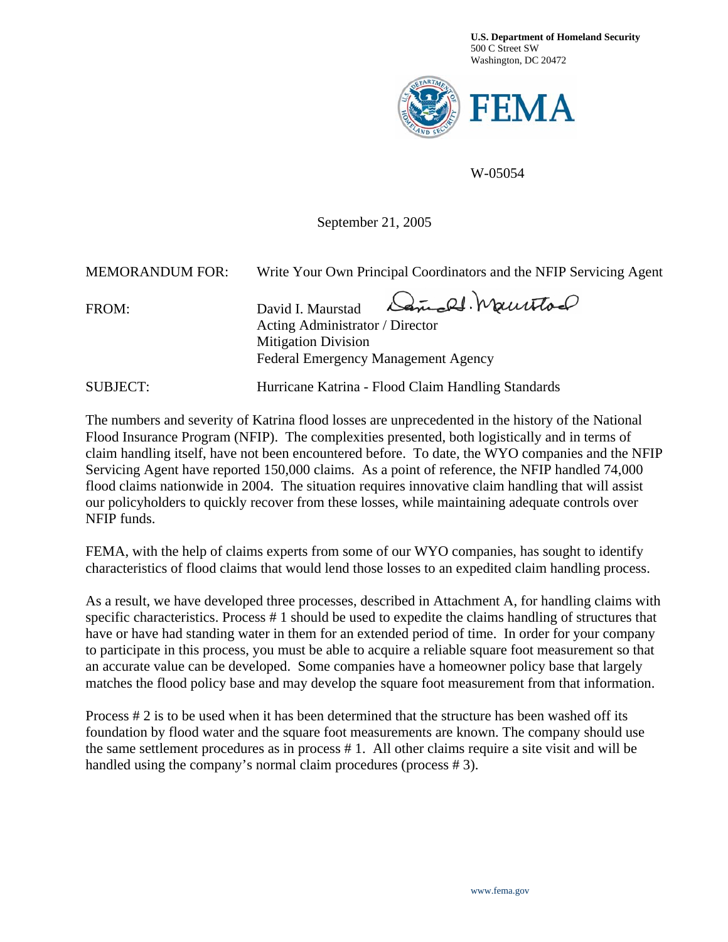**U.S. Department of Homeland Security**  500 C Street SW Washington, DC 20472



W-05054

September 21, 2005

| <b>MEMORANDUM FOR:</b> | Write Your Own Principal Coordinators and the NFIP Servicing Agent                                                                               |  |  |
|------------------------|--------------------------------------------------------------------------------------------------------------------------------------------------|--|--|
| FROM:                  | David I. Maurstad Cample Mauritod<br>Acting Administrator / Director<br><b>Mitigation Division</b><br><b>Federal Emergency Management Agency</b> |  |  |
| <b>SUBJECT:</b>        | Hurricane Katrina - Flood Claim Handling Standards                                                                                               |  |  |

The numbers and severity of Katrina flood losses are unprecedented in the history of the National Flood Insurance Program (NFIP). The complexities presented, both logistically and in terms of claim handling itself, have not been encountered before. To date, the WYO companies and the NFIP Servicing Agent have reported 150,000 claims. As a point of reference, the NFIP handled 74,000 flood claims nationwide in 2004. The situation requires innovative claim handling that will assist our policyholders to quickly recover from these losses, while maintaining adequate controls over NFIP funds.

FEMA, with the help of claims experts from some of our WYO companies, has sought to identify characteristics of flood claims that would lend those losses to an expedited claim handling process.

As a result, we have developed three processes, described in Attachment A, for handling claims with specific characteristics. Process # 1 should be used to expedite the claims handling of structures that have or have had standing water in them for an extended period of time. In order for your company to participate in this process, you must be able to acquire a reliable square foot measurement so that an accurate value can be developed. Some companies have a homeowner policy base that largely matches the flood policy base and may develop the square foot measurement from that information.

Process # 2 is to be used when it has been determined that the structure has been washed off its foundation by flood water and the square foot measurements are known. The company should use the same settlement procedures as in process # 1. All other claims require a site visit and will be handled using the company's normal claim procedures (process # 3).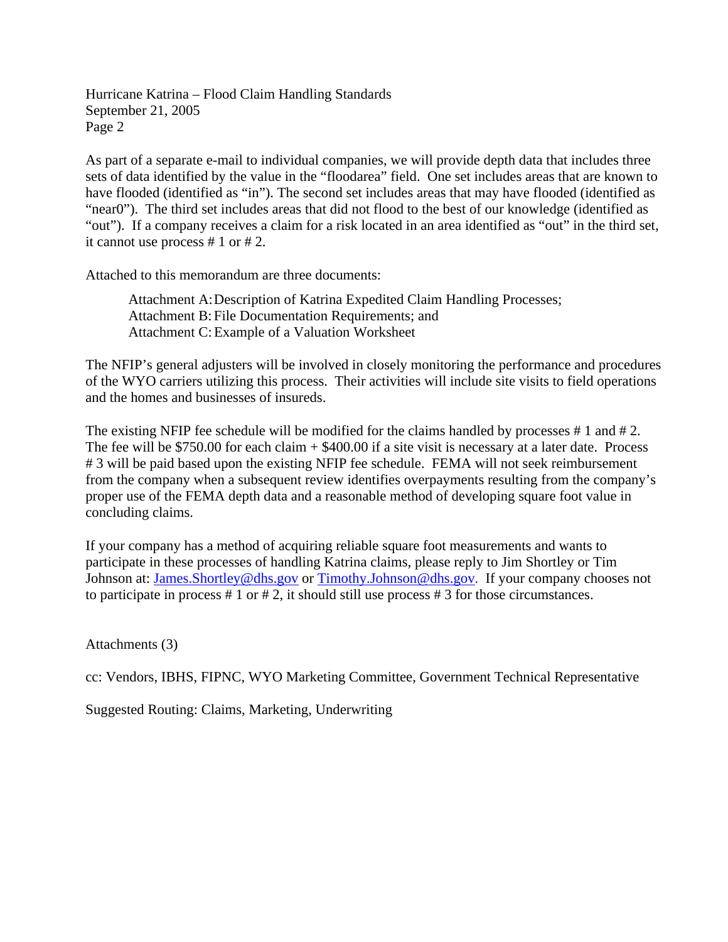Hurricane Katrina – Flood Claim Handling Standards September 21, 2005 Page 2

As part of a separate e-mail to individual companies, we will provide depth data that includes three sets of data identified by the value in the "floodarea" field. One set includes areas that are known to have flooded (identified as "in"). The second set includes areas that may have flooded (identified as "near0"). The third set includes areas that did not flood to the best of our knowledge (identified as "out"). If a company receives a claim for a risk located in an area identified as "out" in the third set, it cannot use process # 1 or # 2.

Attached to this memorandum are three documents:

Attachment A: Description of Katrina Expedited Claim Handling Processes; Attachment B: File Documentation Requirements; and Attachment C: Example of a Valuation Worksheet

The NFIP's general adjusters will be involved in closely monitoring the performance and procedures of the WYO carriers utilizing this process. Their activities will include site visits to field operations and the homes and businesses of insureds.

The existing NFIP fee schedule will be modified for the claims handled by processes # 1 and # 2. The fee will be \$750.00 for each claim + \$400.00 if a site visit is necessary at a later date. Process # 3 will be paid based upon the existing NFIP fee schedule. FEMA will not seek reimbursement from the company when a subsequent review identifies overpayments resulting from the company's proper use of the FEMA depth data and a reasonable method of developing square foot value in concluding claims.

If your company has a method of acquiring reliable square foot measurements and wants to participate in these processes of handling Katrina claims, please reply to Jim Shortley or Tim Johnson at: [James.Shortley@dhs.gov](mailto: James.Shortley@dhs.gov) or [Timothy.Johnson@dhs.gov.](mailto: Timothy.Johnson@dhs.gov) If your company chooses not to participate in process # 1 or # 2, it should still use process # 3 for those circumstances.

Attachments (3)

cc: Vendors, IBHS, FIPNC, WYO Marketing Committee, Government Technical Representative

Suggested Routing: Claims, Marketing, Underwriting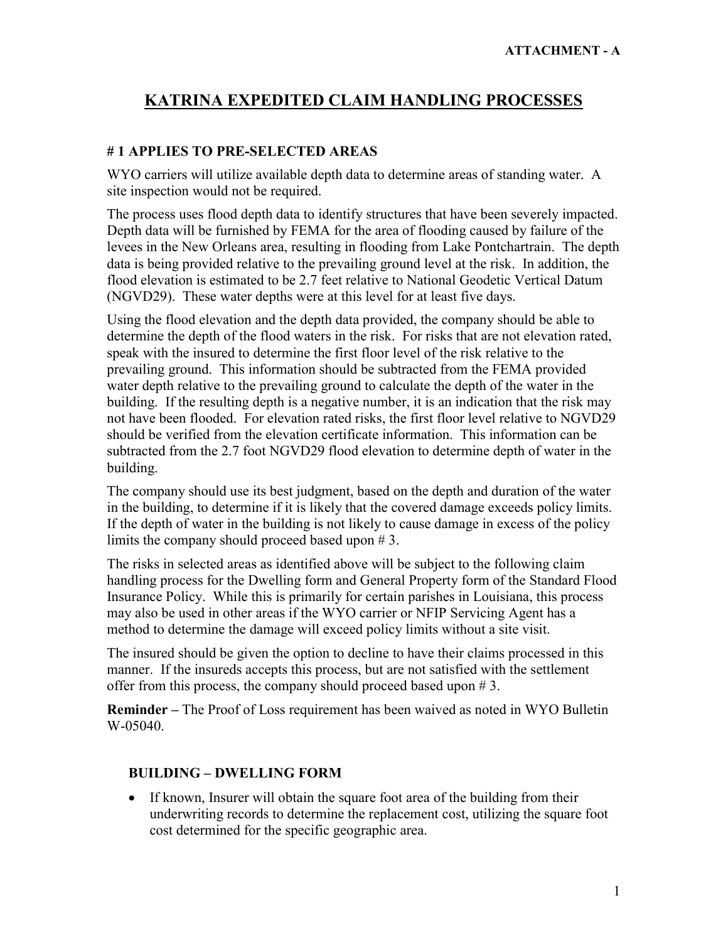### **# 1 APPLIES TO PRE-SELECTED AREAS**

WYO carriers will utilize available depth data to determine areas of standing water. A site inspection would not be required.

The process uses flood depth data to identify structures that have been severely impacted. Depth data will be furnished by FEMA for the area of flooding caused by failure of the levees in the New Orleans area, resulting in flooding from Lake Pontchartrain. The depth data is being provided relative to the prevailing ground level at the risk. In addition, the flood elevation is estimated to be 2.7 feet relative to National Geodetic Vertical Datum (NGVD29). These water depths were at this level for at least five days.

Using the flood elevation and the depth data provided, the company should be able to determine the depth of the flood waters in the risk. For risks that are not elevation rated, speak with the insured to determine the first floor level of the risk relative to the prevailing ground. This information should be subtracted from the FEMA provided water depth relative to the prevailing ground to calculate the depth of the water in the building. If the resulting depth is a negative number, it is an indication that the risk may not have been flooded. For elevation rated risks, the first floor level relative to NGVD29 should be verified from the elevation certificate information. This information can be subtracted from the 2.7 foot NGVD29 flood elevation to determine depth of water in the building.

The company should use its best judgment, based on the depth and duration of the water in the building, to determine if it is likely that the covered damage exceeds policy limits. If the depth of water in the building is not likely to cause damage in excess of the policy limits the company should proceed based upon # 3.

The risks in selected areas as identified above will be subject to the following claim handling process for the Dwelling form and General Property form of the Standard Flood Insurance Policy. While this is primarily for certain parishes in Louisiana, this process may also be used in other areas if the WYO carrier or NFIP Servicing Agent has a method to determine the damage will exceed policy limits without a site visit.

The insured should be given the option to decline to have their claims processed in this manner. If the insureds accepts this process, but are not satisfied with the settlement offer from this process, the company should proceed based upon # 3.

**Reminder –** The Proof of Loss requirement has been waived as noted in WYO Bulletin W-05040.

#### **BUILDING – DWELLING FORM**

• If known, Insurer will obtain the square foot area of the building from their underwriting records to determine the replacement cost, utilizing the square foot cost determined for the specific geographic area.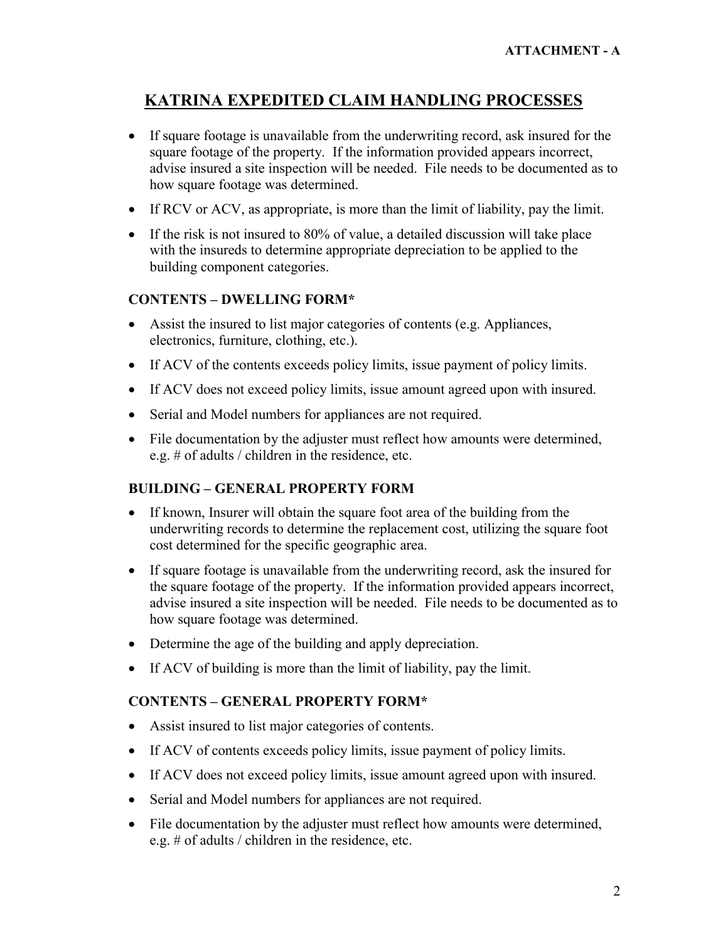- � If square footage is unavailable from the underwriting record, ask insured for the square footage of the property. If the information provided appears incorrect, advise insured a site inspection will be needed. File needs to be documented as to how square footage was determined.
- If RCV or ACV, as appropriate, is more than the limit of liability, pay the limit.
- If the risk is not insured to 80% of value, a detailed discussion will take place with the insureds to determine appropriate depreciation to be applied to the building component categories.

### **CONTENTS – DWELLING FORM\***

- Assist the insured to list major categories of contents (e.g. Appliances, electronics, furniture, clothing, etc.).
- If ACV of the contents exceeds policy limits, issue payment of policy limits.
- � If ACV does not exceed policy limits, issue amount agreed upon with insured.
- Serial and Model numbers for appliances are not required.
- File documentation by the adjuster must reflect how amounts were determined, e.g. # of adults / children in the residence, etc.

### **BUILDING – GENERAL PROPERTY FORM**

- If known, Insurer will obtain the square foot area of the building from the underwriting records to determine the replacement cost, utilizing the square foot cost determined for the specific geographic area.
- � If square footage is unavailable from the underwriting record, ask the insured for the square footage of the property. If the information provided appears incorrect, advise insured a site inspection will be needed. File needs to be documented as to how square footage was determined.
- Determine the age of the building and apply depreciation.
- � If ACV of building is more than the limit of liability, pay the limit.

### **CONTENTS – GENERAL PROPERTY FORM\***

- � Assist insured to list major categories of contents.
- If ACV of contents exceeds policy limits, issue payment of policy limits.
- � If ACV does not exceed policy limits, issue amount agreed upon with insured.
- � Serial and Model numbers for appliances are not required.
- File documentation by the adjuster must reflect how amounts were determined, e.g. # of adults / children in the residence, etc.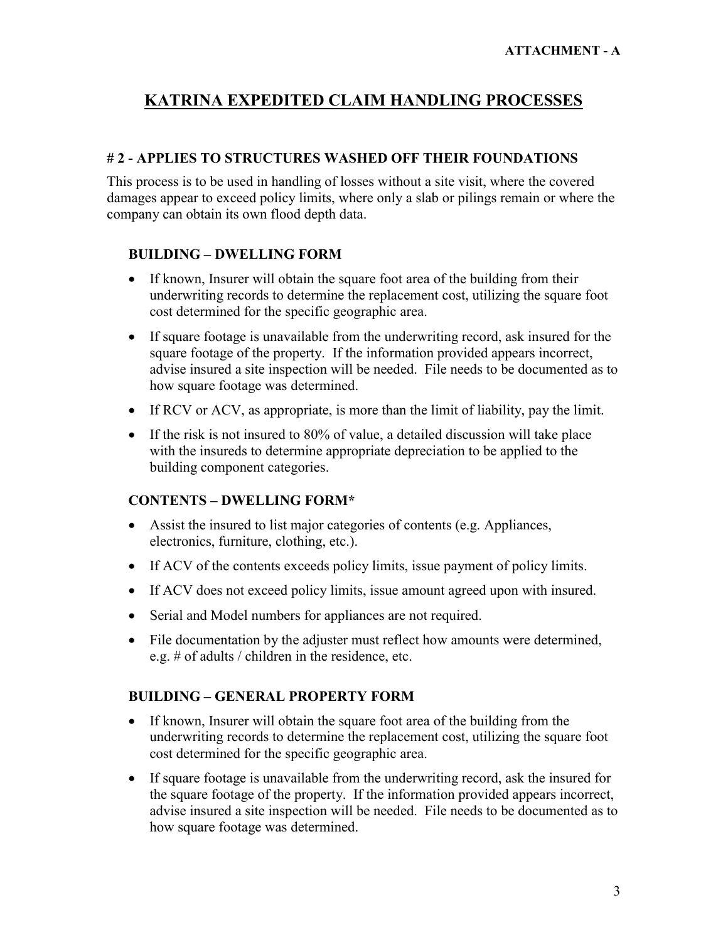### **# 2 - APPLIES TO STRUCTURES WASHED OFF THEIR FOUNDATIONS**

This process is to be used in handling of losses without a site visit, where the covered damages appear to exceed policy limits, where only a slab or pilings remain or where the company can obtain its own flood depth data.

### **BUILDING – DWELLING FORM**

- If known, Insurer will obtain the square foot area of the building from their underwriting records to determine the replacement cost, utilizing the square foot cost determined for the specific geographic area.
- � If square footage is unavailable from the underwriting record, ask insured for the square footage of the property. If the information provided appears incorrect, advise insured a site inspection will be needed. File needs to be documented as to how square footage was determined.
- If RCV or ACV, as appropriate, is more than the limit of liability, pay the limit.
- If the risk is not insured to 80% of value, a detailed discussion will take place with the insureds to determine appropriate depreciation to be applied to the building component categories.

### **CONTENTS – DWELLING FORM\***

- � Assist the insured to list major categories of contents (e.g. Appliances, electronics, furniture, clothing, etc.).
- � If ACV of the contents exceeds policy limits, issue payment of policy limits.
- � If ACV does not exceed policy limits, issue amount agreed upon with insured.
- Serial and Model numbers for appliances are not required.
- File documentation by the adjuster must reflect how amounts were determined, e.g. # of adults / children in the residence, etc.

## **BUILDING – GENERAL PROPERTY FORM**

- � If known, Insurer will obtain the square foot area of the building from the underwriting records to determine the replacement cost, utilizing the square foot cost determined for the specific geographic area.
- If square footage is unavailable from the underwriting record, ask the insured for the square footage of the property. If the information provided appears incorrect, advise insured a site inspection will be needed. File needs to be documented as to how square footage was determined.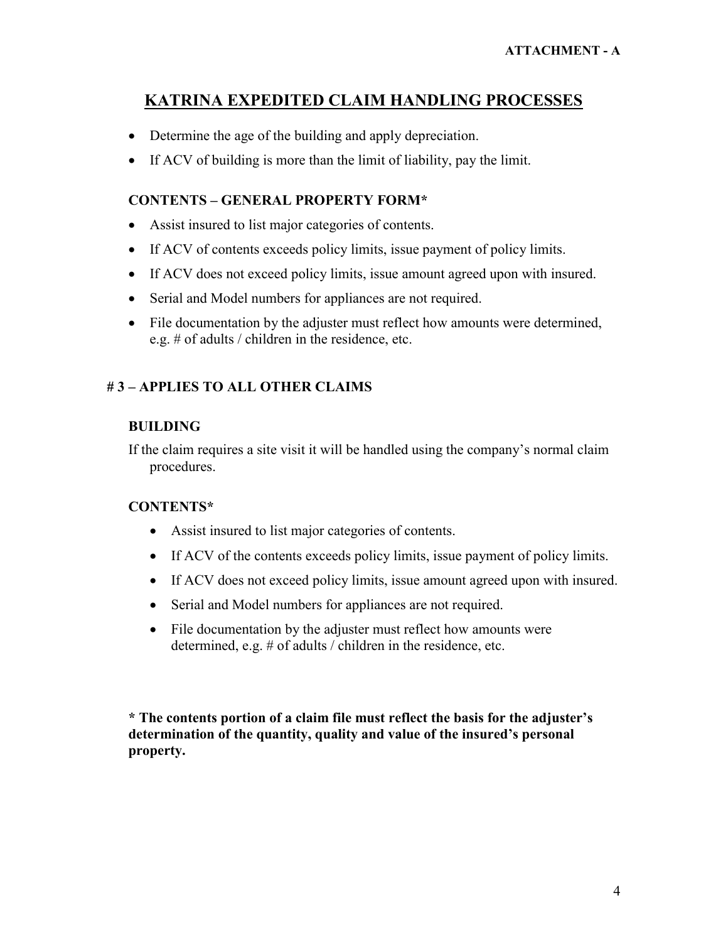- Determine the age of the building and apply depreciation.
- � If ACV of building is more than the limit of liability, pay the limit.

### **CONTENTS – GENERAL PROPERTY FORM\***

- � Assist insured to list major categories of contents.
- If ACV of contents exceeds policy limits, issue payment of policy limits.
- � If ACV does not exceed policy limits, issue amount agreed upon with insured.
- Serial and Model numbers for appliances are not required.
- File documentation by the adjuster must reflect how amounts were determined, e.g. # of adults / children in the residence, etc.

## **# 3 – APPLIES TO ALL OTHER CLAIMS**

#### **BUILDING**

If the claim requires a site visit it will be handled using the company's normal claim procedures.

### **CONTENTS\***

- � Assist insured to list major categories of contents.
- If ACV of the contents exceeds policy limits, issue payment of policy limits.
- � If ACV does not exceed policy limits, issue amount agreed upon with insured.
- Serial and Model numbers for appliances are not required.
- File documentation by the adjuster must reflect how amounts were determined, e.g. # of adults / children in the residence, etc.

**\* The contents portion of a claim file must reflect the basis for the adjuster's determination of the quantity, quality and value of the insured's personal property.**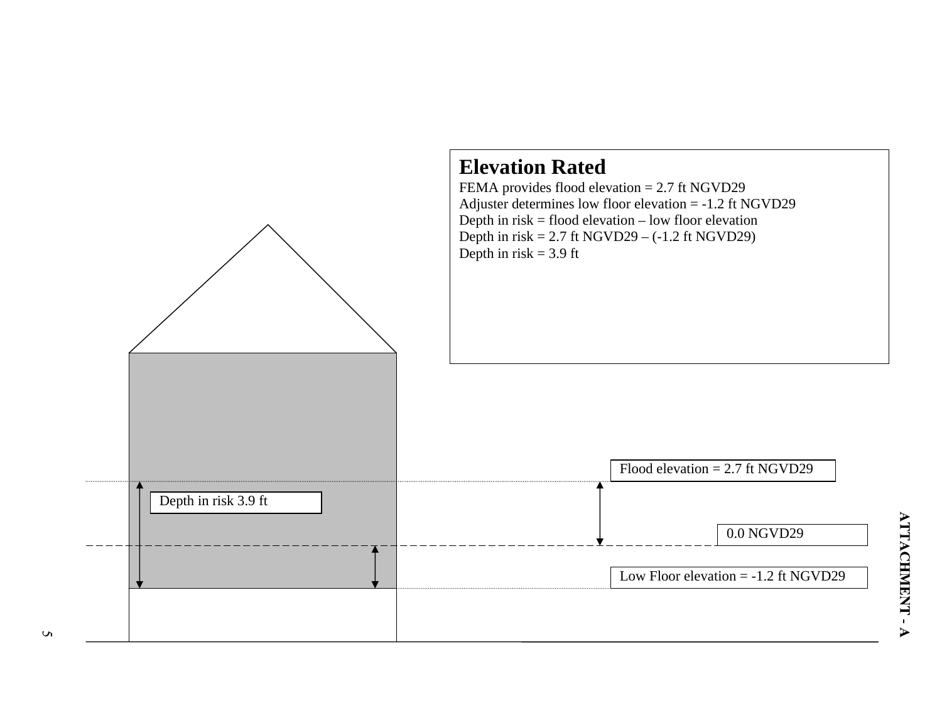

 $\mathbf{v}$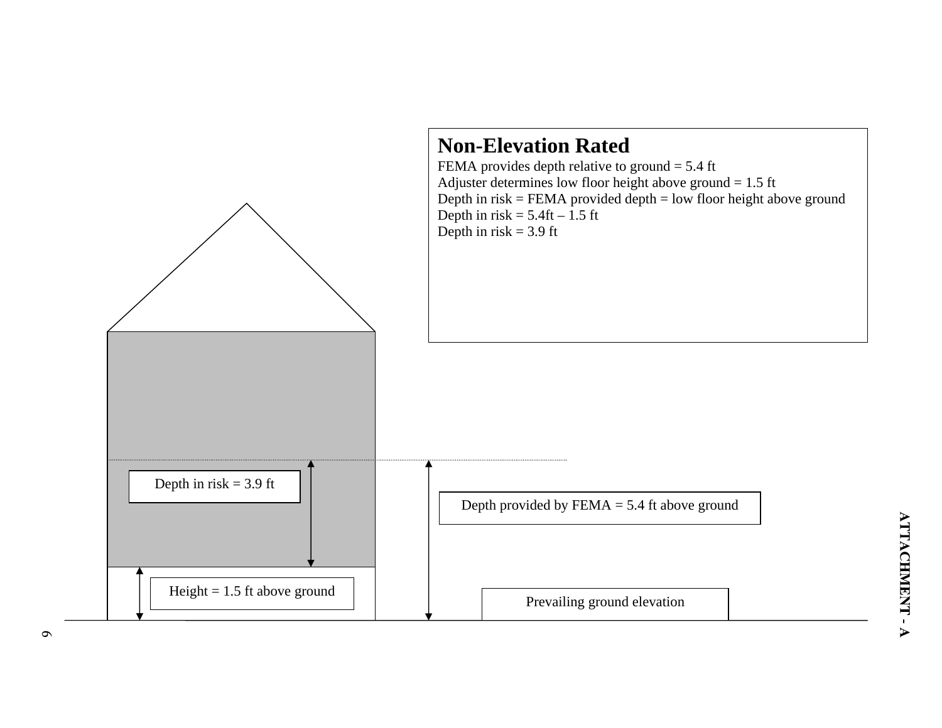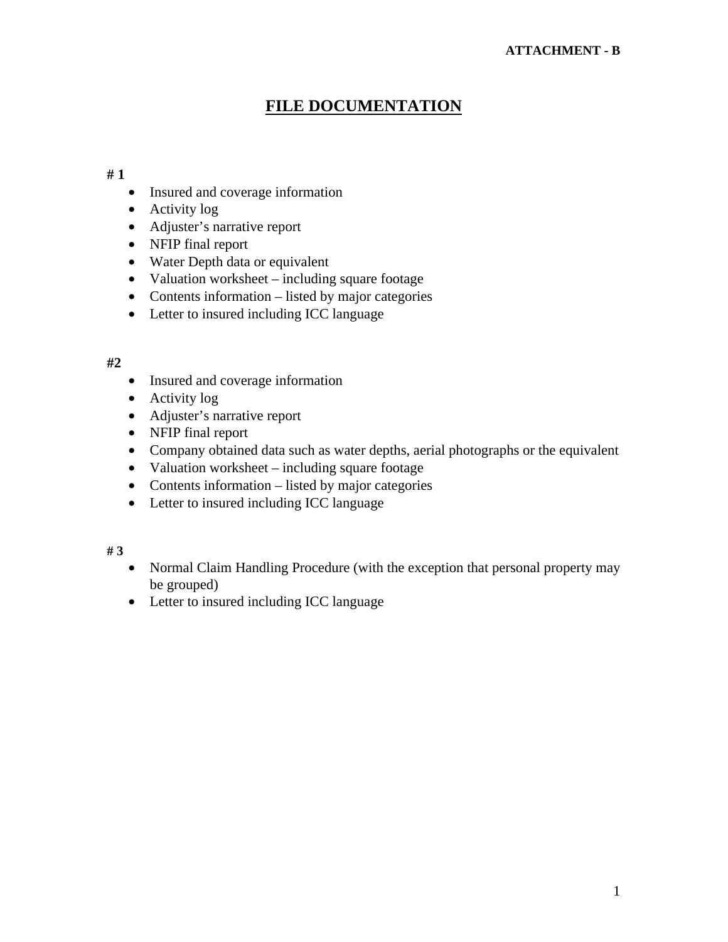# **FILE DOCUMENTATION**

#### **# 1**

- Insured and coverage information
- Activity log
- Adjuster's narrative report
- NFIP final report
- Water Depth data or equivalent
- Valuation worksheet including square footage
- Contents information listed by major categories
- Letter to insured including ICC language

### **#2**

- Insured and coverage information
- Activity log
- Adjuster's narrative report
- NFIP final report
- Company obtained data such as water depths, aerial photographs or the equivalent
- Valuation worksheet including square footage
- Contents information listed by major categories
- Letter to insured including ICC language

#### **# 3**

- Normal Claim Handling Procedure (with the exception that personal property may be grouped)
- Letter to insured including ICC language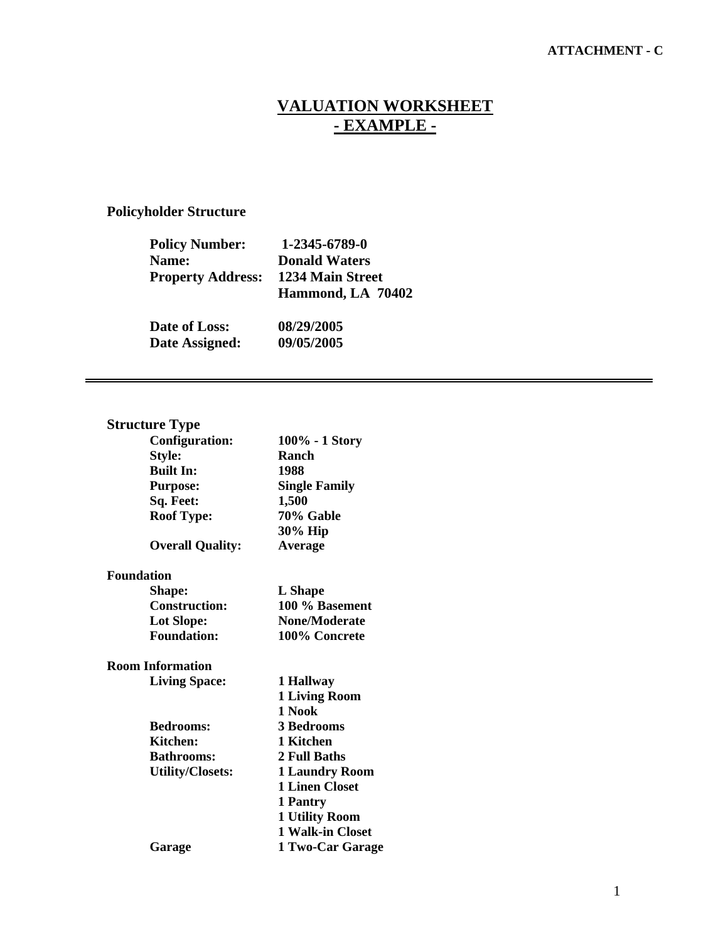### **ATTACHMENT - C**

## **VALUATION WORKSHEET - EXAMPLE -**

## **Policyholder Structure**

| <b>Policy Number:</b>    | 1-2345-6789-0        |  |
|--------------------------|----------------------|--|
| Name:                    | <b>Donald Waters</b> |  |
| <b>Property Address:</b> | 1234 Main Street     |  |
|                          | Hammond, LA 70402    |  |
| Date of Loss:            | 08/29/2005           |  |
| Date Assigned:           | 09/05/2005           |  |

## **Structure Type**

| <b>Configuration:</b>   | 100% - 1 Story        |
|-------------------------|-----------------------|
| Style:                  | Ranch                 |
| <b>Built In:</b>        | 1988                  |
| <b>Purpose:</b>         | <b>Single Family</b>  |
| Sq. Feet:               | 1,500                 |
| <b>Roof Type:</b>       | 70% Gable             |
|                         | 30% Hip               |
| <b>Overall Quality:</b> | Average               |
| <b>Foundation</b>       |                       |
| Shape:                  | L Shape               |
| <b>Construction:</b>    | 100 % Basement        |
| <b>Lot Slope:</b>       | None/Moderate         |
| <b>Foundation:</b>      | 100% Concrete         |
| <b>Room Information</b> |                       |
| <b>Living Space:</b>    | 1 Hallway             |
|                         | <b>1 Living Room</b>  |
|                         | 1 Nook                |
| <b>Bedrooms:</b>        | <b>3 Bedrooms</b>     |
| <b>Kitchen:</b>         | 1 Kitchen             |
| <b>Bathrooms:</b>       | 2 Full Baths          |
| <b>Utility/Closets:</b> | <b>1 Laundry Room</b> |
|                         | <b>1 Linen Closet</b> |
|                         | 1 Pantry              |
|                         | <b>1 Utility Room</b> |
|                         | 1 Walk-in Closet      |
| Garage                  | 1 Two-Car Garage      |
|                         |                       |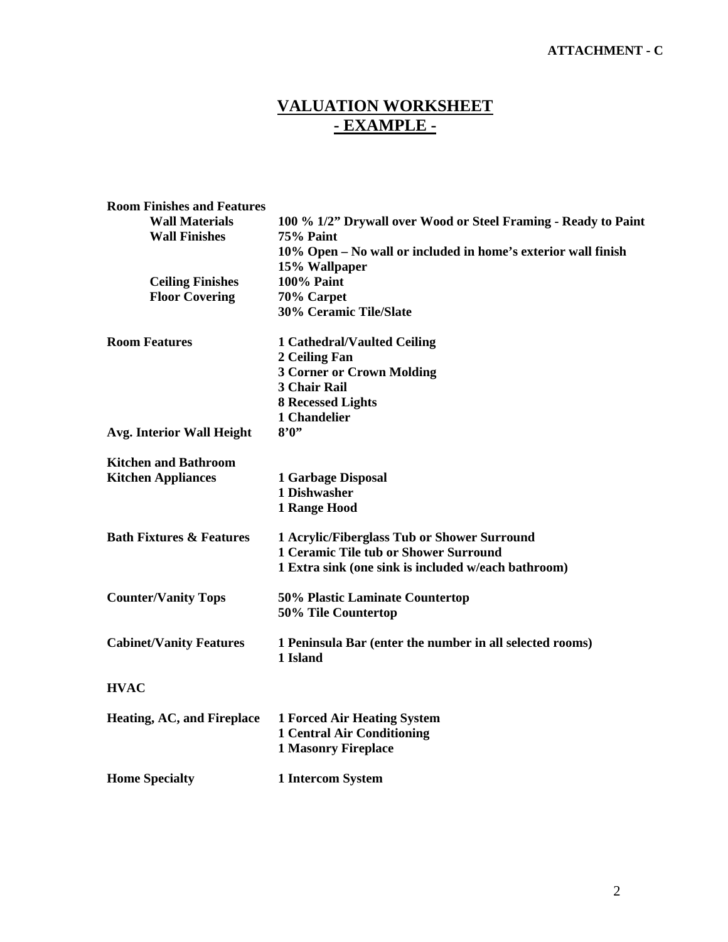### **ATTACHMENT - C**

# **VALUATION WORKSHEET - EXAMPLE -**

| <b>Room Finishes and Features</b>   |                                                                                                       |  |  |
|-------------------------------------|-------------------------------------------------------------------------------------------------------|--|--|
| <b>Wall Materials</b>               | 100 % 1/2" Drywall over Wood or Steel Framing - Ready to Paint                                        |  |  |
| <b>Wall Finishes</b>                | 75% Paint                                                                                             |  |  |
|                                     | 10% Open – No wall or included in home's exterior wall finish                                         |  |  |
|                                     | 15% Wallpaper                                                                                         |  |  |
| <b>Ceiling Finishes</b>             | <b>100% Paint</b>                                                                                     |  |  |
| <b>Floor Covering</b>               | 70% Carpet                                                                                            |  |  |
|                                     | 30% Ceramic Tile/Slate                                                                                |  |  |
| <b>Room Features</b>                | <b>1 Cathedral/Vaulted Ceiling</b>                                                                    |  |  |
|                                     | 2 Ceiling Fan                                                                                         |  |  |
|                                     | <b>3 Corner or Crown Molding</b>                                                                      |  |  |
|                                     | <b>3 Chair Rail</b>                                                                                   |  |  |
|                                     | <b>8 Recessed Lights</b>                                                                              |  |  |
|                                     | 1 Chandelier                                                                                          |  |  |
| Avg. Interior Wall Height           | 8'0''                                                                                                 |  |  |
| <b>Kitchen and Bathroom</b>         |                                                                                                       |  |  |
| <b>Kitchen Appliances</b>           | 1 Garbage Disposal                                                                                    |  |  |
|                                     | 1 Dishwasher                                                                                          |  |  |
|                                     | 1 Range Hood                                                                                          |  |  |
| <b>Bath Fixtures &amp; Features</b> | 1 Acrylic/Fiberglass Tub or Shower Surround                                                           |  |  |
|                                     | <b>1 Ceramic Tile tub or Shower Surround</b>                                                          |  |  |
|                                     | 1 Extra sink (one sink is included w/each bathroom)                                                   |  |  |
| <b>Counter/Vanity Tops</b>          | 50% Plastic Laminate Countertop                                                                       |  |  |
|                                     | 50% Tile Countertop                                                                                   |  |  |
| <b>Cabinet/Vanity Features</b>      | 1 Peninsula Bar (enter the number in all selected rooms)<br>1 Island                                  |  |  |
| <b>HVAC</b>                         |                                                                                                       |  |  |
| <b>Heating, AC, and Fireplace</b>   | <b>1 Forced Air Heating System</b><br><b>1 Central Air Conditioning</b><br><b>1 Masonry Fireplace</b> |  |  |
| <b>Home Specialty</b>               | <b>1 Intercom System</b>                                                                              |  |  |
|                                     |                                                                                                       |  |  |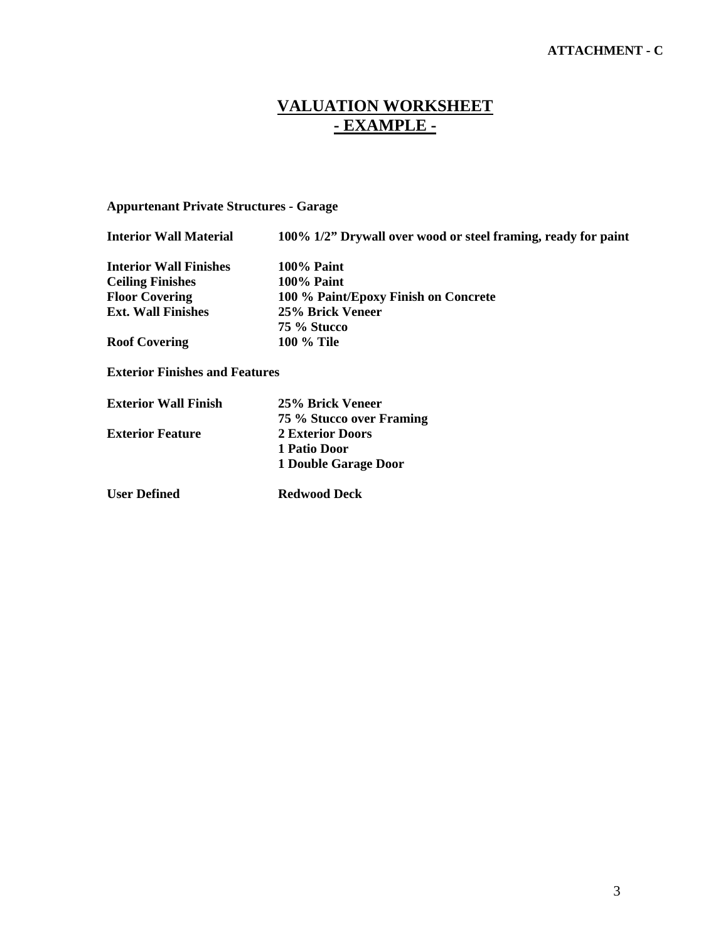## **VALUATION WORKSHEET - EXAMPLE -**

### **Appurtenant Private Structures - Garage**

| <b>Interior Wall Material</b>         | 100% 1/2" Drywall over wood or steel framing, ready for paint |  |
|---------------------------------------|---------------------------------------------------------------|--|
| <b>Interior Wall Finishes</b>         | $100\%$ Paint                                                 |  |
| <b>Ceiling Finishes</b>               | <b>100% Paint</b>                                             |  |
| <b>Floor Covering</b>                 | 100 % Paint/Epoxy Finish on Concrete                          |  |
| <b>Ext. Wall Finishes</b>             | 25% Brick Veneer                                              |  |
|                                       | 75 % Stucco                                                   |  |
| <b>Roof Covering</b>                  | <b>100 % Tile</b>                                             |  |
| <b>Exterior Finishes and Features</b> |                                                               |  |
| <b>Exterior Wall Finish</b>           | 25% Brick Veneer                                              |  |

| <b>Exterior Wall Finish</b> | 25% Brick Veneer         |
|-----------------------------|--------------------------|
|                             | 75 % Stucco over Framing |
| <b>Exterior Feature</b>     | <b>2 Exterior Doors</b>  |
|                             | 1 Patio Door             |
|                             | 1 Double Garage Door     |
| <b>User Defined</b>         | <b>Redwood Deck</b>      |